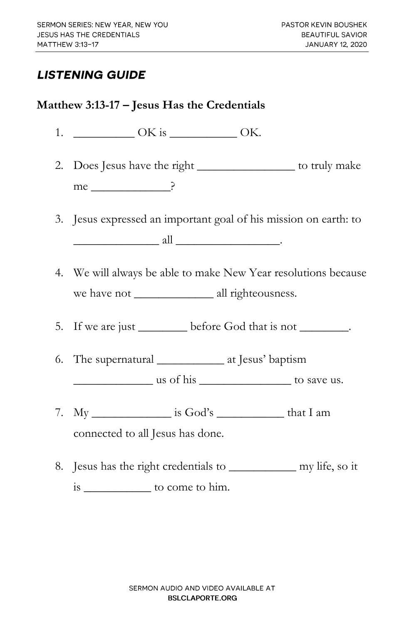## **LISTENING GUIDE**

## **Matthew 3:13-17 – Jesus Has the Credentials**

- 1. \_\_\_\_\_\_\_\_\_\_ OK is \_\_\_\_\_\_\_\_\_\_\_ OK.
- 2. Does Jesus have the right \_\_\_\_\_\_\_\_\_\_\_\_\_\_\_ to truly make me ?
- 3. Jesus expressed an important goal of his mission on earth: to  $all$   $.$
- 4. We will always be able to make New Year resolutions because we have not \_\_\_\_\_\_\_\_\_\_\_\_\_ all righteousness.
- 5. If we are just <u>less</u> before God that is not \_\_\_\_\_\_\_\_.
- 6. The supernatural \_\_\_\_\_\_\_\_\_\_\_ at Jesus' baptism \_\_\_\_\_\_\_\_\_\_\_\_\_ us of his \_\_\_\_\_\_\_\_\_\_\_\_\_\_\_ to save us.
	-
- 7.  $M_V$  is God's that I am connected to all Jesus has done.
- 8. Jesus has the right credentials to \_\_\_\_\_\_\_\_\_\_\_ my life, so it is \_\_\_\_\_\_\_\_\_\_\_ to come to him.